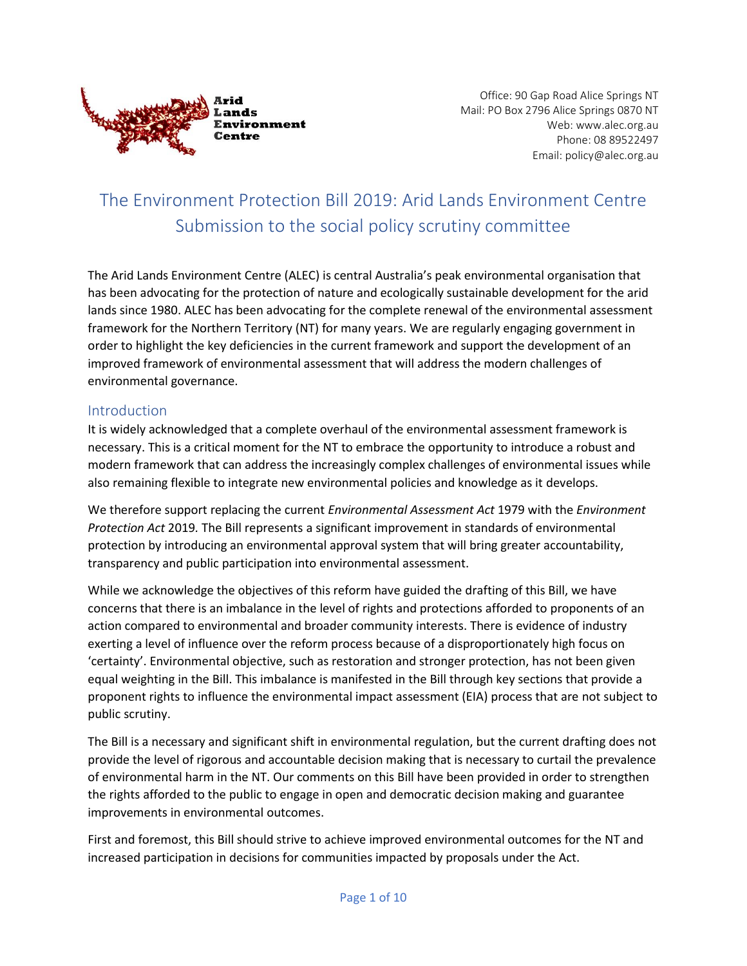

Office: 90 Gap Road Alice Springs NT Mail: PO Box 2796 Alice Springs 0870 NT Web: www.alec.org.au Phone: 08 89522497 Email: policy@alec.org.au

# The Environment Protection Bill 2019: Arid Lands Environment Centre Submission to the social policy scrutiny committee

The Arid Lands Environment Centre (ALEC) is central Australia's peak environmental organisation that has been advocating for the protection of nature and ecologically sustainable development for the arid lands since 1980. ALEC has been advocating for the complete renewal of the environmental assessment framework for the Northern Territory (NT) for many years. We are regularly engaging government in order to highlight the key deficiencies in the current framework and support the development of an improved framework of environmental assessment that will address the modern challenges of environmental governance.

# Introduction

It is widely acknowledged that a complete overhaul of the environmental assessment framework is necessary. This is a critical moment for the NT to embrace the opportunity to introduce a robust and modern framework that can address the increasingly complex challenges of environmental issues while also remaining flexible to integrate new environmental policies and knowledge as it develops.

We therefore support replacing the current *Environmental Assessment Act* 1979 with the *Environment Protection Act* 2019*.* The Bill represents a significant improvement in standards of environmental protection by introducing an environmental approval system that will bring greater accountability, transparency and public participation into environmental assessment.

While we acknowledge the objectives of this reform have guided the drafting of this Bill, we have concerns that there is an imbalance in the level of rights and protections afforded to proponents of an action compared to environmental and broader community interests. There is evidence of industry exerting a level of influence over the reform process because of a disproportionately high focus on 'certainty'. Environmental objective, such as restoration and stronger protection, has not been given equal weighting in the Bill. This imbalance is manifested in the Bill through key sections that provide a proponent rights to influence the environmental impact assessment (EIA) process that are not subject to public scrutiny.

The Bill is a necessary and significant shift in environmental regulation, but the current drafting does not provide the level of rigorous and accountable decision making that is necessary to curtail the prevalence of environmental harm in the NT. Our comments on this Bill have been provided in order to strengthen the rights afforded to the public to engage in open and democratic decision making and guarantee improvements in environmental outcomes.

First and foremost, this Bill should strive to achieve improved environmental outcomes for the NT and increased participation in decisions for communities impacted by proposals under the Act.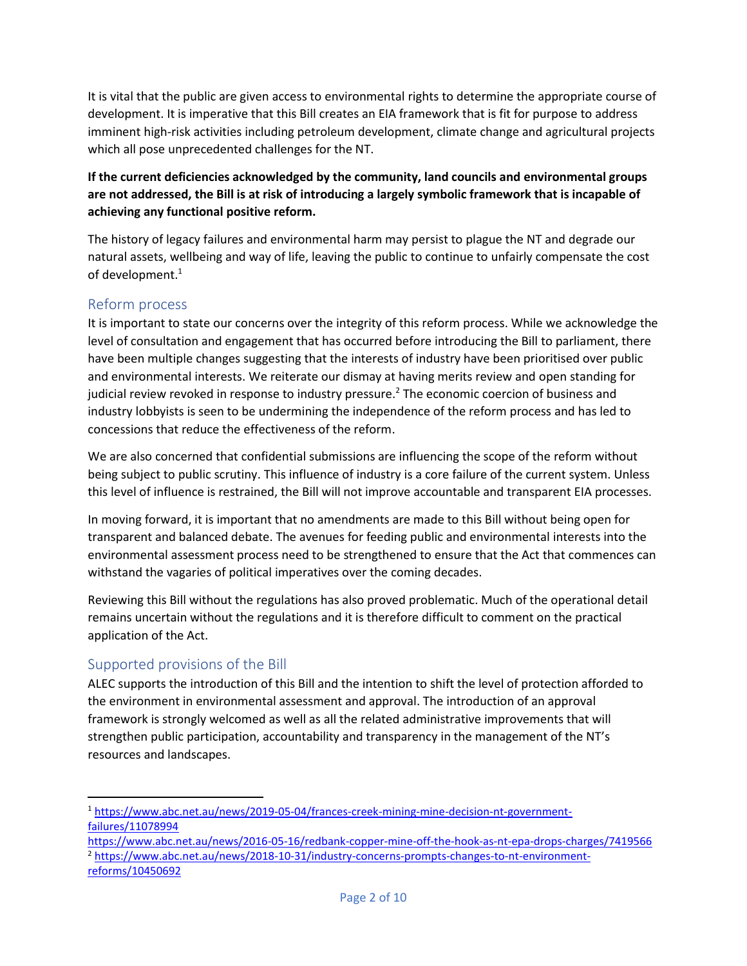It is vital that the public are given access to environmental rights to determine the appropriate course of development. It is imperative that this Bill creates an EIA framework that is fit for purpose to address imminent high-risk activities including petroleum development, climate change and agricultural projects which all pose unprecedented challenges for the NT.

**If the current deficiencies acknowledged by the community, land councils and environmental groups are not addressed, the Bill is at risk of introducing a largely symbolic framework that is incapable of achieving any functional positive reform.** 

The history of legacy failures and environmental harm may persist to plague the NT and degrade our natural assets, wellbeing and way of life, leaving the public to continue to unfairly compensate the cost of development. 1

# Reform process

It is important to state our concerns over the integrity of this reform process. While we acknowledge the level of consultation and engagement that has occurred before introducing the Bill to parliament, there have been multiple changes suggesting that the interests of industry have been prioritised over public and environmental interests. We reiterate our dismay at having merits review and open standing for judicial review revoked in response to industry pressure.<sup>2</sup> The economic coercion of business and industry lobbyists is seen to be undermining the independence of the reform process and has led to concessions that reduce the effectiveness of the reform.

We are also concerned that confidential submissions are influencing the scope of the reform without being subject to public scrutiny. This influence of industry is a core failure of the current system. Unless this level of influence is restrained, the Bill will not improve accountable and transparent EIA processes.

In moving forward, it is important that no amendments are made to this Bill without being open for transparent and balanced debate. The avenues for feeding public and environmental interests into the environmental assessment process need to be strengthened to ensure that the Act that commences can withstand the vagaries of political imperatives over the coming decades.

Reviewing this Bill without the regulations has also proved problematic. Much of the operational detail remains uncertain without the regulations and it is therefore difficult to comment on the practical application of the Act.

# Supported provisions of the Bill

ALEC supports the introduction of this Bill and the intention to shift the level of protection afforded to the environment in environmental assessment and approval. The introduction of an approval framework is strongly welcomed as well as all the related administrative improvements that will strengthen public participation, accountability and transparency in the management of the NT's resources and landscapes.

 $\overline{\phantom{a}}$ <sup>1</sup> [https://www.abc.net.au/news/2019-05-04/frances-creek-mining-mine-decision-nt-government](https://www.abc.net.au/news/2019-05-04/frances-creek-mining-mine-decision-nt-government-failures/11078994)[failures/11078994](https://www.abc.net.au/news/2019-05-04/frances-creek-mining-mine-decision-nt-government-failures/11078994)

<https://www.abc.net.au/news/2016-05-16/redbank-copper-mine-off-the-hook-as-nt-epa-drops-charges/7419566> <sup>2</sup> [https://www.abc.net.au/news/2018-10-31/industry-concerns-prompts-changes-to-nt-environment](https://www.abc.net.au/news/2018-10-31/industry-concerns-prompts-changes-to-nt-environment-reforms/10450692)[reforms/10450692](https://www.abc.net.au/news/2018-10-31/industry-concerns-prompts-changes-to-nt-environment-reforms/10450692)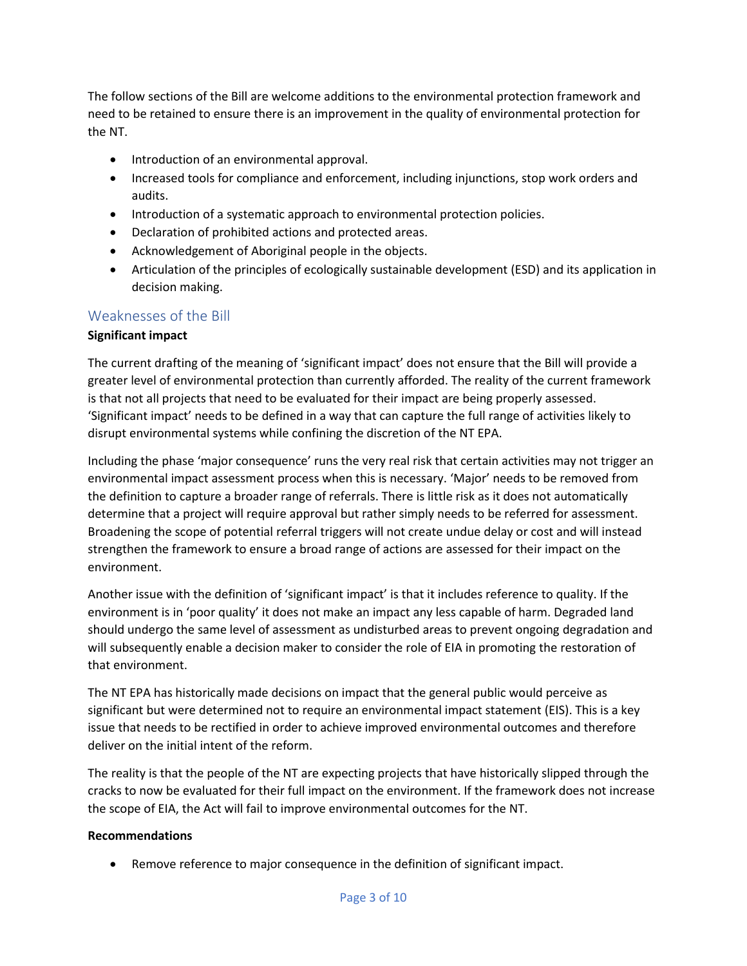The follow sections of the Bill are welcome additions to the environmental protection framework and need to be retained to ensure there is an improvement in the quality of environmental protection for the NT.

- Introduction of an environmental approval.
- Increased tools for compliance and enforcement, including injunctions, stop work orders and audits.
- Introduction of a systematic approach to environmental protection policies.
- Declaration of prohibited actions and protected areas.
- Acknowledgement of Aboriginal people in the objects.
- Articulation of the principles of ecologically sustainable development (ESD) and its application in decision making.

# Weaknesses of the Bill

#### **Significant impact**

The current drafting of the meaning of 'significant impact' does not ensure that the Bill will provide a greater level of environmental protection than currently afforded. The reality of the current framework is that not all projects that need to be evaluated for their impact are being properly assessed. 'Significant impact' needs to be defined in a way that can capture the full range of activities likely to disrupt environmental systems while confining the discretion of the NT EPA.

Including the phase 'major consequence' runs the very real risk that certain activities may not trigger an environmental impact assessment process when this is necessary. 'Major' needs to be removed from the definition to capture a broader range of referrals. There is little risk as it does not automatically determine that a project will require approval but rather simply needs to be referred for assessment. Broadening the scope of potential referral triggers will not create undue delay or cost and will instead strengthen the framework to ensure a broad range of actions are assessed for their impact on the environment.

Another issue with the definition of 'significant impact' is that it includes reference to quality. If the environment is in 'poor quality' it does not make an impact any less capable of harm. Degraded land should undergo the same level of assessment as undisturbed areas to prevent ongoing degradation and will subsequently enable a decision maker to consider the role of EIA in promoting the restoration of that environment.

The NT EPA has historically made decisions on impact that the general public would perceive as significant but were determined not to require an environmental impact statement (EIS). This is a key issue that needs to be rectified in order to achieve improved environmental outcomes and therefore deliver on the initial intent of the reform.

The reality is that the people of the NT are expecting projects that have historically slipped through the cracks to now be evaluated for their full impact on the environment. If the framework does not increase the scope of EIA, the Act will fail to improve environmental outcomes for the NT.

#### **Recommendations**

• Remove reference to major consequence in the definition of significant impact.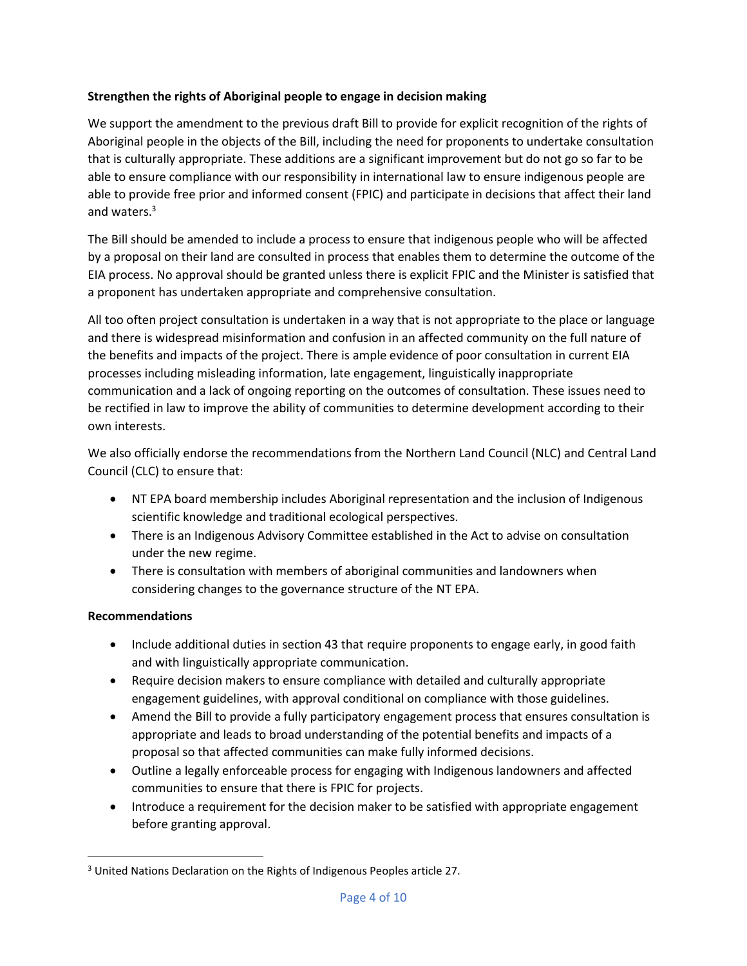#### **Strengthen the rights of Aboriginal people to engage in decision making**

We support the amendment to the previous draft Bill to provide for explicit recognition of the rights of Aboriginal people in the objects of the Bill, including the need for proponents to undertake consultation that is culturally appropriate. These additions are a significant improvement but do not go so far to be able to ensure compliance with our responsibility in international law to ensure indigenous people are able to provide free prior and informed consent (FPIC) and participate in decisions that affect their land and waters. 3

The Bill should be amended to include a process to ensure that indigenous people who will be affected by a proposal on their land are consulted in process that enables them to determine the outcome of the EIA process. No approval should be granted unless there is explicit FPIC and the Minister is satisfied that a proponent has undertaken appropriate and comprehensive consultation.

All too often project consultation is undertaken in a way that is not appropriate to the place or language and there is widespread misinformation and confusion in an affected community on the full nature of the benefits and impacts of the project. There is ample evidence of poor consultation in current EIA processes including misleading information, late engagement, linguistically inappropriate communication and a lack of ongoing reporting on the outcomes of consultation. These issues need to be rectified in law to improve the ability of communities to determine development according to their own interests.

We also officially endorse the recommendations from the Northern Land Council (NLC) and Central Land Council (CLC) to ensure that:

- NT EPA board membership includes Aboriginal representation and the inclusion of Indigenous scientific knowledge and traditional ecological perspectives.
- There is an Indigenous Advisory Committee established in the Act to advise on consultation under the new regime.
- There is consultation with members of aboriginal communities and landowners when considering changes to the governance structure of the NT EPA.

# **Recommendations**

 $\overline{\phantom{a}}$ 

- Include additional duties in section 43 that require proponents to engage early, in good faith and with linguistically appropriate communication.
- Require decision makers to ensure compliance with detailed and culturally appropriate engagement guidelines, with approval conditional on compliance with those guidelines.
- Amend the Bill to provide a fully participatory engagement process that ensures consultation is appropriate and leads to broad understanding of the potential benefits and impacts of a proposal so that affected communities can make fully informed decisions.
- Outline a legally enforceable process for engaging with Indigenous landowners and affected communities to ensure that there is FPIC for projects.
- Introduce a requirement for the decision maker to be satisfied with appropriate engagement before granting approval.

<sup>3</sup> United Nations Declaration on the Rights of Indigenous Peoples article 27.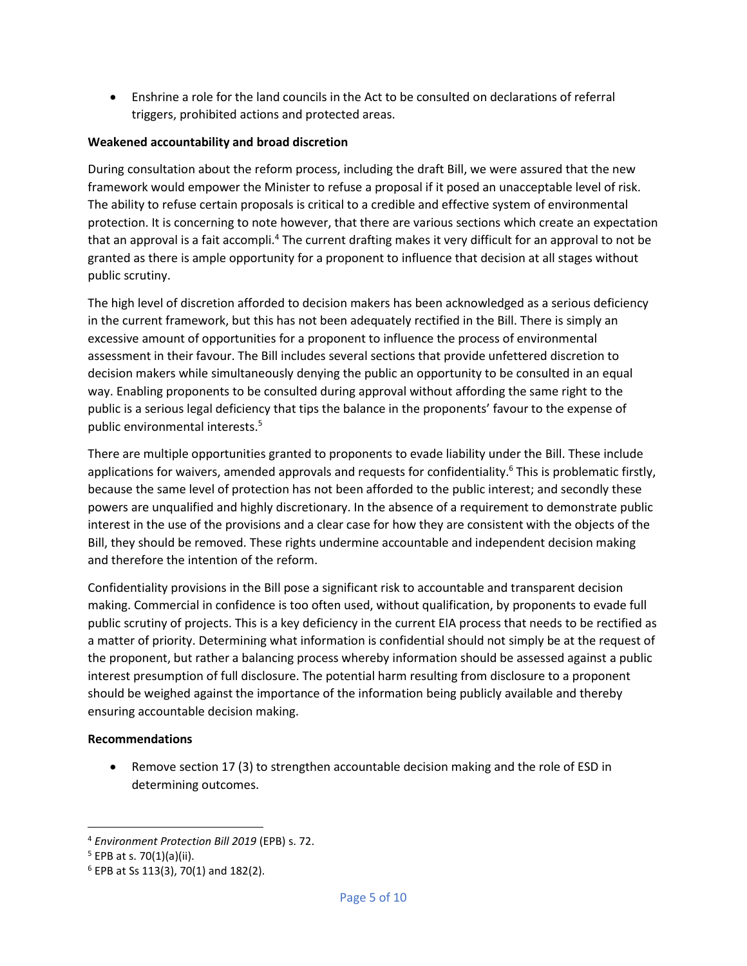• Enshrine a role for the land councils in the Act to be consulted on declarations of referral triggers, prohibited actions and protected areas.

#### **Weakened accountability and broad discretion**

During consultation about the reform process, including the draft Bill, we were assured that the new framework would empower the Minister to refuse a proposal if it posed an unacceptable level of risk. The ability to refuse certain proposals is critical to a credible and effective system of environmental protection. It is concerning to note however, that there are various sections which create an expectation that an approval is a fait accompli.<sup>4</sup> The current drafting makes it very difficult for an approval to not be granted as there is ample opportunity for a proponent to influence that decision at all stages without public scrutiny.

The high level of discretion afforded to decision makers has been acknowledged as a serious deficiency in the current framework, but this has not been adequately rectified in the Bill. There is simply an excessive amount of opportunities for a proponent to influence the process of environmental assessment in their favour. The Bill includes several sections that provide unfettered discretion to decision makers while simultaneously denying the public an opportunity to be consulted in an equal way. Enabling proponents to be consulted during approval without affording the same right to the public is a serious legal deficiency that tips the balance in the proponents' favour to the expense of public environmental interests.<sup>5</sup>

There are multiple opportunities granted to proponents to evade liability under the Bill. These include applications for waivers, amended approvals and requests for confidentiality.<sup>6</sup> This is problematic firstly, because the same level of protection has not been afforded to the public interest; and secondly these powers are unqualified and highly discretionary. In the absence of a requirement to demonstrate public interest in the use of the provisions and a clear case for how they are consistent with the objects of the Bill, they should be removed. These rights undermine accountable and independent decision making and therefore the intention of the reform.

Confidentiality provisions in the Bill pose a significant risk to accountable and transparent decision making. Commercial in confidence is too often used, without qualification, by proponents to evade full public scrutiny of projects. This is a key deficiency in the current EIA process that needs to be rectified as a matter of priority. Determining what information is confidential should not simply be at the request of the proponent, but rather a balancing process whereby information should be assessed against a public interest presumption of full disclosure. The potential harm resulting from disclosure to a proponent should be weighed against the importance of the information being publicly available and thereby ensuring accountable decision making.

#### **Recommendations**

• Remove section 17 (3) to strengthen accountable decision making and the role of ESD in determining outcomes.

 $\overline{a}$ 

<sup>4</sup> *Environment Protection Bill 2019* (EPB) s. 72.

 $5$  EPB at s. 70(1)(a)(ii).

<sup>6</sup> EPB at Ss 113(3), 70(1) and 182(2).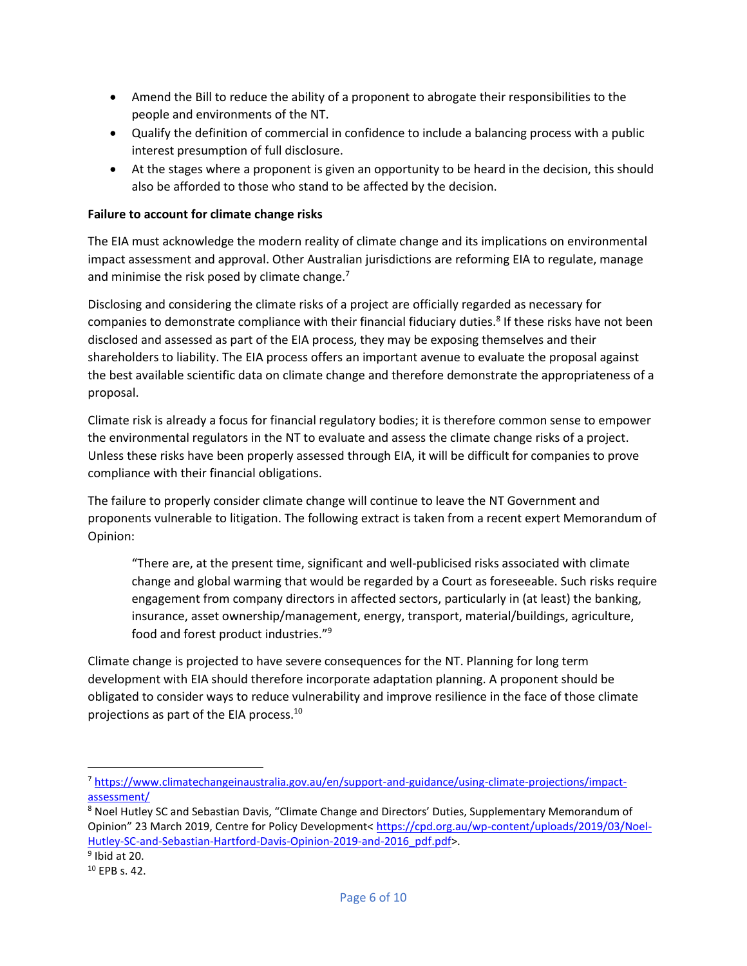- Amend the Bill to reduce the ability of a proponent to abrogate their responsibilities to the people and environments of the NT.
- Qualify the definition of commercial in confidence to include a balancing process with a public interest presumption of full disclosure.
- At the stages where a proponent is given an opportunity to be heard in the decision, this should also be afforded to those who stand to be affected by the decision.

# **Failure to account for climate change risks**

The EIA must acknowledge the modern reality of climate change and its implications on environmental impact assessment and approval. Other Australian jurisdictions are reforming EIA to regulate, manage and minimise the risk posed by climate change.<sup>7</sup>

Disclosing and considering the climate risks of a project are officially regarded as necessary for companies to demonstrate compliance with their financial fiduciary duties.<sup>8</sup> If these risks have not been disclosed and assessed as part of the EIA process, they may be exposing themselves and their shareholders to liability. The EIA process offers an important avenue to evaluate the proposal against the best available scientific data on climate change and therefore demonstrate the appropriateness of a proposal.

Climate risk is already a focus for financial regulatory bodies; it is therefore common sense to empower the environmental regulators in the NT to evaluate and assess the climate change risks of a project. Unless these risks have been properly assessed through EIA, it will be difficult for companies to prove compliance with their financial obligations.

The failure to properly consider climate change will continue to leave the NT Government and proponents vulnerable to litigation. The following extract is taken from a recent expert Memorandum of Opinion:

"There are, at the present time, significant and well-publicised risks associated with climate change and global warming that would be regarded by a Court as foreseeable. Such risks require engagement from company directors in affected sectors, particularly in (at least) the banking, insurance, asset ownership/management, energy, transport, material/buildings, agriculture, food and forest product industries."<sup>9</sup>

Climate change is projected to have severe consequences for the NT. Planning for long term development with EIA should therefore incorporate adaptation planning. A proponent should be obligated to consider ways to reduce vulnerability and improve resilience in the face of those climate projections as part of the EIA process.<sup>10</sup>

 $\overline{\phantom{a}}$ 

<sup>7</sup> [https://www.climatechangeinaustralia.gov.au/en/support-and-guidance/using-climate-projections/impact](https://www.climatechangeinaustralia.gov.au/en/support-and-guidance/using-climate-projections/impact-assessment/)[assessment/](https://www.climatechangeinaustralia.gov.au/en/support-and-guidance/using-climate-projections/impact-assessment/)

<sup>&</sup>lt;sup>8</sup> Noel Hutley SC and Sebastian Davis, "Climate Change and Directors' Duties, Supplementary Memorandum of Opinion" 23 March 2019, Centre for Policy Development< [https://cpd.org.au/wp-content/uploads/2019/03/Noel-](https://cpd.org.au/wp-content/uploads/2019/03/Noel-Hutley-SC-and-Sebastian-Hartford-Davis-Opinion-2019-and-2016_pdf.pdf)[Hutley-SC-and-Sebastian-Hartford-Davis-Opinion-2019-and-2016\\_pdf.pdf>](https://cpd.org.au/wp-content/uploads/2019/03/Noel-Hutley-SC-and-Sebastian-Hartford-Davis-Opinion-2019-and-2016_pdf.pdf).

<sup>9</sup> Ibid at 20.

<sup>10</sup> EPB s. 42.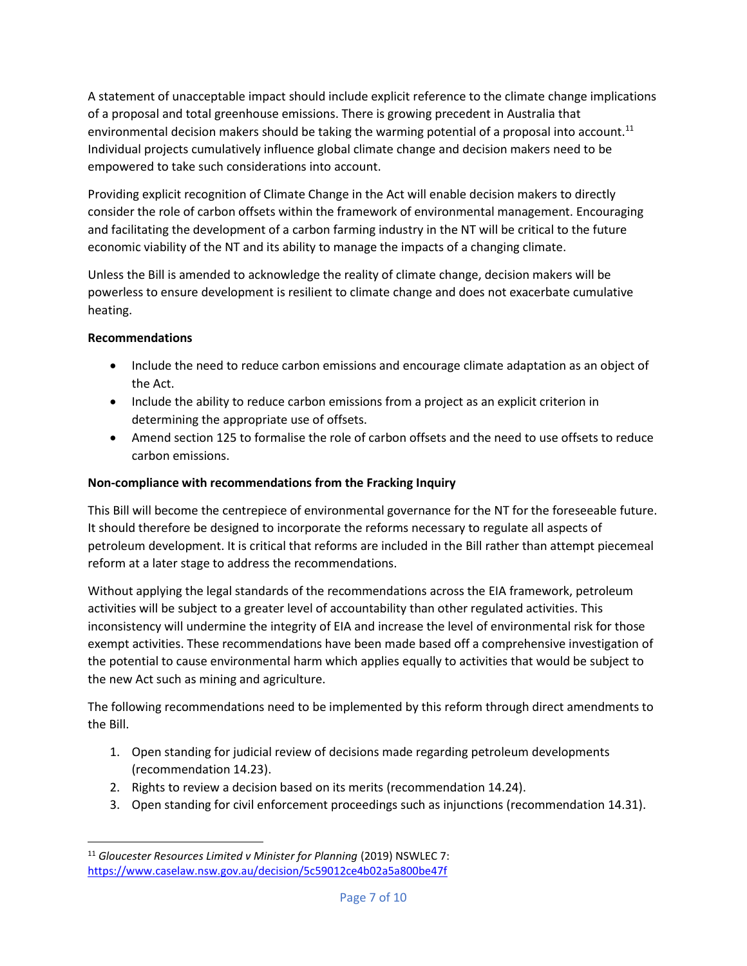A statement of unacceptable impact should include explicit reference to the climate change implications of a proposal and total greenhouse emissions. There is growing precedent in Australia that environmental decision makers should be taking the warming potential of a proposal into account.<sup>11</sup> Individual projects cumulatively influence global climate change and decision makers need to be empowered to take such considerations into account.

Providing explicit recognition of Climate Change in the Act will enable decision makers to directly consider the role of carbon offsets within the framework of environmental management. Encouraging and facilitating the development of a carbon farming industry in the NT will be critical to the future economic viability of the NT and its ability to manage the impacts of a changing climate.

Unless the Bill is amended to acknowledge the reality of climate change, decision makers will be powerless to ensure development is resilient to climate change and does not exacerbate cumulative heating.

# **Recommendations**

- Include the need to reduce carbon emissions and encourage climate adaptation as an object of the Act.
- Include the ability to reduce carbon emissions from a project as an explicit criterion in determining the appropriate use of offsets.
- Amend section 125 to formalise the role of carbon offsets and the need to use offsets to reduce carbon emissions.

# **Non-compliance with recommendations from the Fracking Inquiry**

This Bill will become the centrepiece of environmental governance for the NT for the foreseeable future. It should therefore be designed to incorporate the reforms necessary to regulate all aspects of petroleum development. It is critical that reforms are included in the Bill rather than attempt piecemeal reform at a later stage to address the recommendations.

Without applying the legal standards of the recommendations across the EIA framework, petroleum activities will be subject to a greater level of accountability than other regulated activities. This inconsistency will undermine the integrity of EIA and increase the level of environmental risk for those exempt activities. These recommendations have been made based off a comprehensive investigation of the potential to cause environmental harm which applies equally to activities that would be subject to the new Act such as mining and agriculture.

The following recommendations need to be implemented by this reform through direct amendments to the Bill.

- 1. Open standing for judicial review of decisions made regarding petroleum developments (recommendation 14.23).
- 2. Rights to review a decision based on its merits (recommendation 14.24).
- 3. Open standing for civil enforcement proceedings such as injunctions (recommendation 14.31).

 $\overline{\phantom{a}}$ <sup>11</sup> Gloucester Resources Limited v Minister for Planning (2019) NSWLEC 7: <https://www.caselaw.nsw.gov.au/decision/5c59012ce4b02a5a800be47f>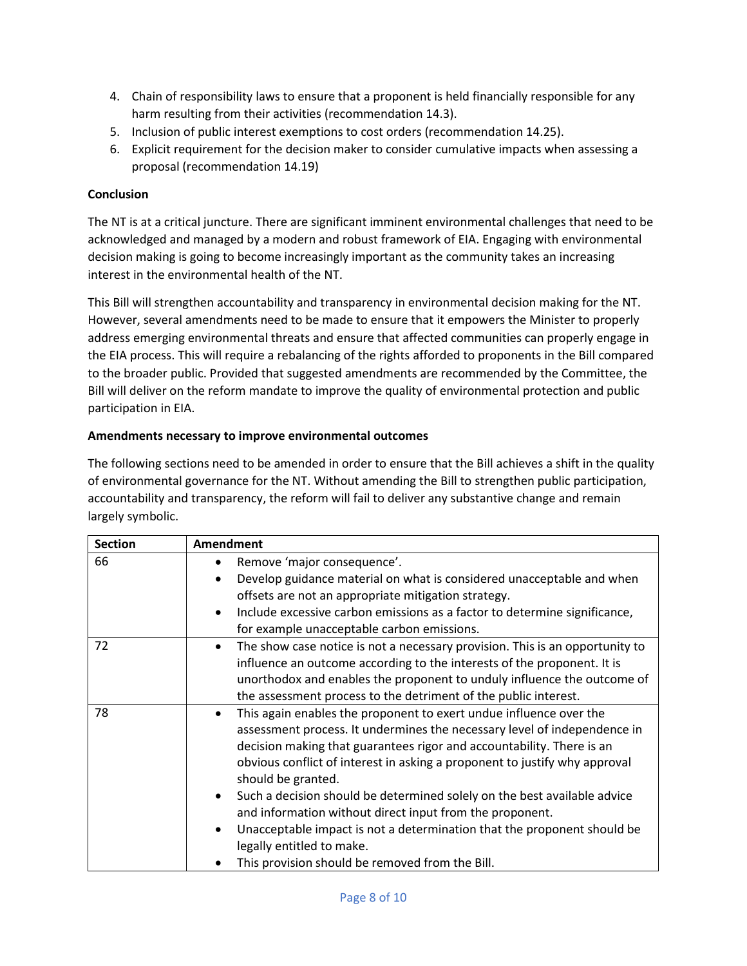- 4. Chain of responsibility laws to ensure that a proponent is held financially responsible for any harm resulting from their activities (recommendation 14.3).
- 5. Inclusion of public interest exemptions to cost orders (recommendation 14.25).
- 6. Explicit requirement for the decision maker to consider cumulative impacts when assessing a proposal (recommendation 14.19)

# **Conclusion**

The NT is at a critical juncture. There are significant imminent environmental challenges that need to be acknowledged and managed by a modern and robust framework of EIA. Engaging with environmental decision making is going to become increasingly important as the community takes an increasing interest in the environmental health of the NT.

This Bill will strengthen accountability and transparency in environmental decision making for the NT. However, several amendments need to be made to ensure that it empowers the Minister to properly address emerging environmental threats and ensure that affected communities can properly engage in the EIA process. This will require a rebalancing of the rights afforded to proponents in the Bill compared to the broader public. Provided that suggested amendments are recommended by the Committee, the Bill will deliver on the reform mandate to improve the quality of environmental protection and public participation in EIA.

# **Amendments necessary to improve environmental outcomes**

The following sections need to be amended in order to ensure that the Bill achieves a shift in the quality of environmental governance for the NT. Without amending the Bill to strengthen public participation, accountability and transparency, the reform will fail to deliver any substantive change and remain largely symbolic.

| <b>Section</b> | Amendment                                                                                 |
|----------------|-------------------------------------------------------------------------------------------|
| 66             | Remove 'major consequence'.<br>٠                                                          |
|                | Develop guidance material on what is considered unacceptable and when                     |
|                | offsets are not an appropriate mitigation strategy.                                       |
|                | Include excessive carbon emissions as a factor to determine significance,<br>$\bullet$    |
|                | for example unacceptable carbon emissions.                                                |
| 72             | The show case notice is not a necessary provision. This is an opportunity to<br>$\bullet$ |
|                | influence an outcome according to the interests of the proponent. It is                   |
|                | unorthodox and enables the proponent to unduly influence the outcome of                   |
|                | the assessment process to the detriment of the public interest.                           |
| 78             | This again enables the proponent to exert undue influence over the<br>$\bullet$           |
|                | assessment process. It undermines the necessary level of independence in                  |
|                | decision making that guarantees rigor and accountability. There is an                     |
|                | obvious conflict of interest in asking a proponent to justify why approval                |
|                | should be granted.                                                                        |
|                | Such a decision should be determined solely on the best available advice                  |
|                | and information without direct input from the proponent.                                  |
|                | Unacceptable impact is not a determination that the proponent should be                   |
|                | legally entitled to make.                                                                 |
|                | This provision should be removed from the Bill.                                           |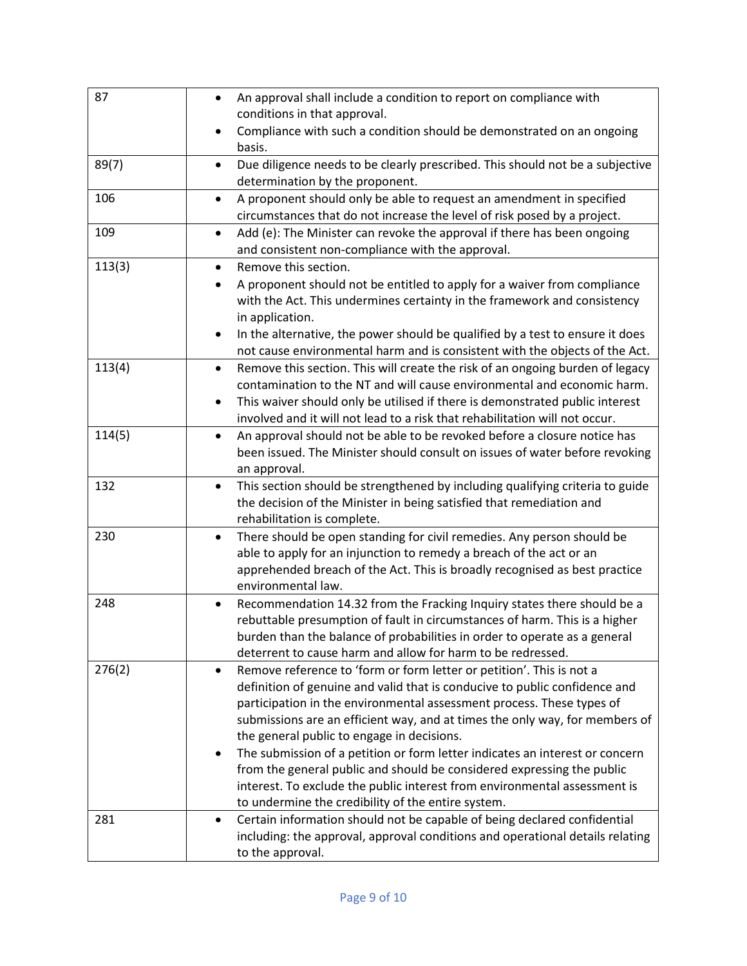| 87     | An approval shall include a condition to report on compliance with<br>$\bullet$<br>conditions in that approval.                                                                                                                                                                                                                                                                                                                                                                                                                                                                                                                                                    |
|--------|--------------------------------------------------------------------------------------------------------------------------------------------------------------------------------------------------------------------------------------------------------------------------------------------------------------------------------------------------------------------------------------------------------------------------------------------------------------------------------------------------------------------------------------------------------------------------------------------------------------------------------------------------------------------|
|        | Compliance with such a condition should be demonstrated on an ongoing<br>basis.                                                                                                                                                                                                                                                                                                                                                                                                                                                                                                                                                                                    |
| 89(7)  | Due diligence needs to be clearly prescribed. This should not be a subjective<br>$\bullet$<br>determination by the proponent.                                                                                                                                                                                                                                                                                                                                                                                                                                                                                                                                      |
| 106    | A proponent should only be able to request an amendment in specified<br>$\bullet$<br>circumstances that do not increase the level of risk posed by a project.                                                                                                                                                                                                                                                                                                                                                                                                                                                                                                      |
| 109    | Add (e): The Minister can revoke the approval if there has been ongoing<br>$\bullet$<br>and consistent non-compliance with the approval.                                                                                                                                                                                                                                                                                                                                                                                                                                                                                                                           |
| 113(3) | Remove this section.<br>$\bullet$<br>A proponent should not be entitled to apply for a waiver from compliance<br>with the Act. This undermines certainty in the framework and consistency<br>in application.<br>In the alternative, the power should be qualified by a test to ensure it does<br>$\bullet$<br>not cause environmental harm and is consistent with the objects of the Act.                                                                                                                                                                                                                                                                          |
| 113(4) | Remove this section. This will create the risk of an ongoing burden of legacy<br>$\bullet$<br>contamination to the NT and will cause environmental and economic harm.<br>This waiver should only be utilised if there is demonstrated public interest<br>$\bullet$<br>involved and it will not lead to a risk that rehabilitation will not occur.                                                                                                                                                                                                                                                                                                                  |
| 114(5) | An approval should not be able to be revoked before a closure notice has<br>$\bullet$<br>been issued. The Minister should consult on issues of water before revoking<br>an approval.                                                                                                                                                                                                                                                                                                                                                                                                                                                                               |
| 132    | This section should be strengthened by including qualifying criteria to guide<br>$\bullet$<br>the decision of the Minister in being satisfied that remediation and<br>rehabilitation is complete.                                                                                                                                                                                                                                                                                                                                                                                                                                                                  |
| 230    | There should be open standing for civil remedies. Any person should be<br>$\bullet$<br>able to apply for an injunction to remedy a breach of the act or an<br>apprehended breach of the Act. This is broadly recognised as best practice<br>environmental law.                                                                                                                                                                                                                                                                                                                                                                                                     |
| 248    | Recommendation 14.32 from the Fracking Inquiry states there should be a<br>$\bullet$<br>rebuttable presumption of fault in circumstances of harm. This is a higher<br>burden than the balance of probabilities in order to operate as a general<br>deterrent to cause harm and allow for harm to be redressed.                                                                                                                                                                                                                                                                                                                                                     |
| 276(2) | Remove reference to 'form or form letter or petition'. This is not a<br>$\bullet$<br>definition of genuine and valid that is conducive to public confidence and<br>participation in the environmental assessment process. These types of<br>submissions are an efficient way, and at times the only way, for members of<br>the general public to engage in decisions.<br>The submission of a petition or form letter indicates an interest or concern<br>from the general public and should be considered expressing the public<br>interest. To exclude the public interest from environmental assessment is<br>to undermine the credibility of the entire system. |
| 281    | Certain information should not be capable of being declared confidential<br>٠<br>including: the approval, approval conditions and operational details relating<br>to the approval.                                                                                                                                                                                                                                                                                                                                                                                                                                                                                 |